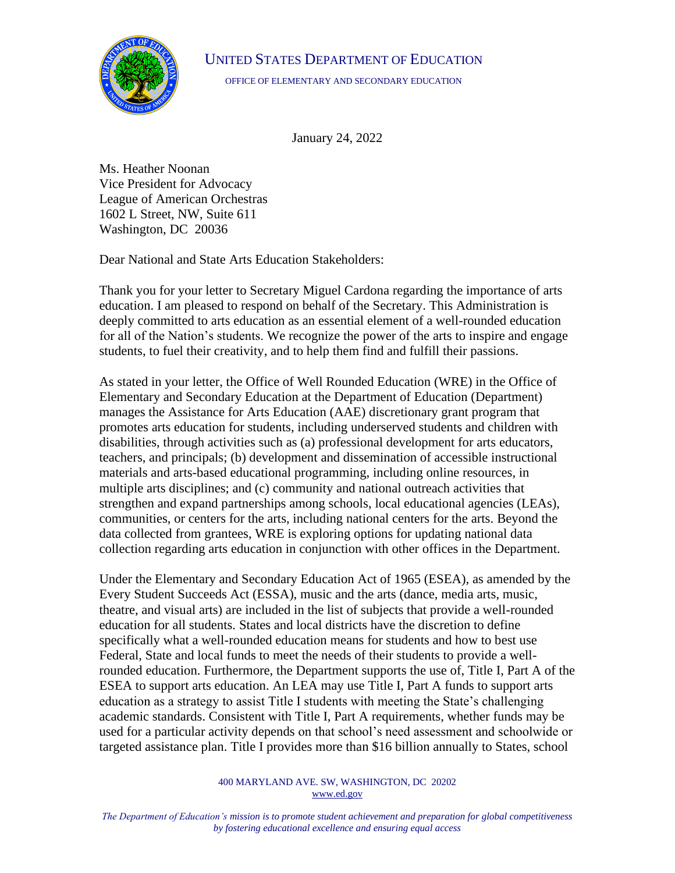## UNITED STATES DEPARTMENT OF EDUCATION



OFFICE OF ELEMENTARY AND SECONDARY EDUCATION

January 24, 2022

Ms. Heather Noonan Vice President for Advocacy League of American Orchestras 1602 L Street, NW, Suite 611 Washington, DC 20036

Dear National and State Arts Education Stakeholders:

Thank you for your letter to Secretary Miguel Cardona regarding the importance of arts education. I am pleased to respond on behalf of the Secretary. This Administration is deeply committed to arts education as an essential element of a well-rounded education for all of the Nation's students. We recognize the power of the arts to inspire and engage students, to fuel their creativity, and to help them find and fulfill their passions.

As stated in your letter, the Office of Well Rounded Education (WRE) in the Office of Elementary and Secondary Education at the Department of Education (Department) manages the Assistance for Arts Education (AAE) discretionary grant program that promotes arts education for students, including underserved students and children with disabilities, through activities such as (a) professional development for arts educators, teachers, and principals; (b) development and dissemination of accessible instructional materials and arts-based educational programming, including online resources, in multiple arts disciplines; and (c) community and national outreach activities that strengthen and expand partnerships among schools, local educational agencies (LEAs), communities, or centers for the arts, including national centers for the arts. Beyond the data collected from grantees, WRE is exploring options for updating national data collection regarding arts education in conjunction with other offices in the Department.

Under the Elementary and Secondary Education Act of 1965 (ESEA), as amended by the Every Student Succeeds Act (ESSA), music and the arts (dance, media arts, music, theatre, and visual arts) are included in the list of subjects that provide a well-rounded education for all students. States and local districts have the discretion to define specifically what a well-rounded education means for students and how to best use Federal, State and local funds to meet the needs of their students to provide a wellrounded education. Furthermore, the Department supports the use of, Title I, Part A of the ESEA to support arts education. An LEA may use Title I, Part A funds to support arts education as a strategy to assist Title I students with meeting the State's challenging academic standards. Consistent with Title I, Part A requirements, whether funds may be used for a particular activity depends on that school's need assessment and schoolwide or targeted assistance plan. Title I provides more than \$16 billion annually to States, school

> 400 MARYLAND AVE. SW, WASHINGTON, DC 20202 [www.ed.gov](http://www.ed.gov/)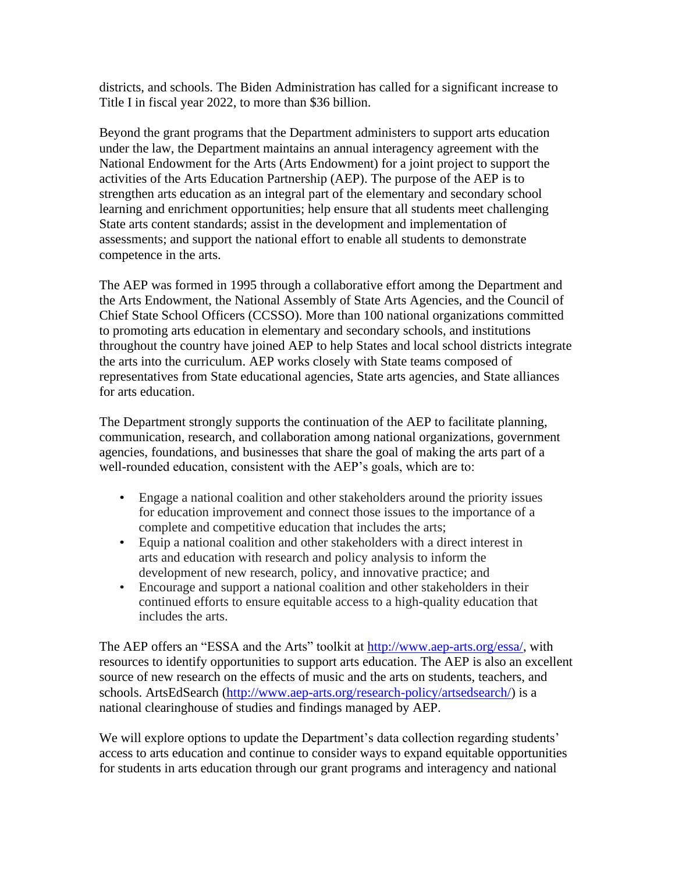districts, and schools. The Biden Administration has called for a significant increase to Title I in fiscal year 2022, to more than \$36 billion.

Beyond the grant programs that the Department administers to support arts education under the law, the Department maintains an annual interagency agreement with the National Endowment for the Arts (Arts Endowment) for a joint project to support the activities of the Arts Education Partnership (AEP). The purpose of the AEP is to strengthen arts education as an integral part of the elementary and secondary school learning and enrichment opportunities; help ensure that all students meet challenging State arts content standards; assist in the development and implementation of assessments; and support the national effort to enable all students to demonstrate competence in the arts.

The AEP was formed in 1995 through a collaborative effort among the Department and the Arts Endowment, the National Assembly of State Arts Agencies, and the Council of Chief State School Officers (CCSSO). More than 100 national organizations committed to promoting arts education in elementary and secondary schools, and institutions throughout the country have joined AEP to help States and local school districts integrate the arts into the curriculum. AEP works closely with State teams composed of representatives from State educational agencies, State arts agencies, and State alliances for arts education.

The Department strongly supports the continuation of the AEP to facilitate planning, communication, research, and collaboration among national organizations, government agencies, foundations, and businesses that share the goal of making the arts part of a well-rounded education, consistent with the AEP's goals, which are to:

- Engage a national coalition and other stakeholders around the priority issues for education improvement and connect those issues to the importance of a complete and competitive education that includes the arts;
- Equip a national coalition and other stakeholders with a direct interest in arts and education with research and policy analysis to inform the development of new research, policy, and innovative practice; and
- Encourage and support a national coalition and other stakeholders in their continued efforts to ensure equitable access to a high-quality education that includes the arts.

The AEP offers an "ESSA and the Arts" toolkit at [http://www.aep-arts.org/essa/,](http://www.aep-arts.org/essa/) with resources to identify opportunities to support arts education. The AEP is also an excellent source of new research on the effects of music and the arts on students, teachers, and schools. ArtsEdSearch [\(http://www.aep-arts.org/research-policy/artsedsearch/\)](http://www.aep-arts.org/research-policy/artsedsearch/) is a national clearinghouse of studies and findings managed by AEP.

We will explore options to update the Department's data collection regarding students' access to arts education and continue to consider ways to expand equitable opportunities for students in arts education through our grant programs and interagency and national